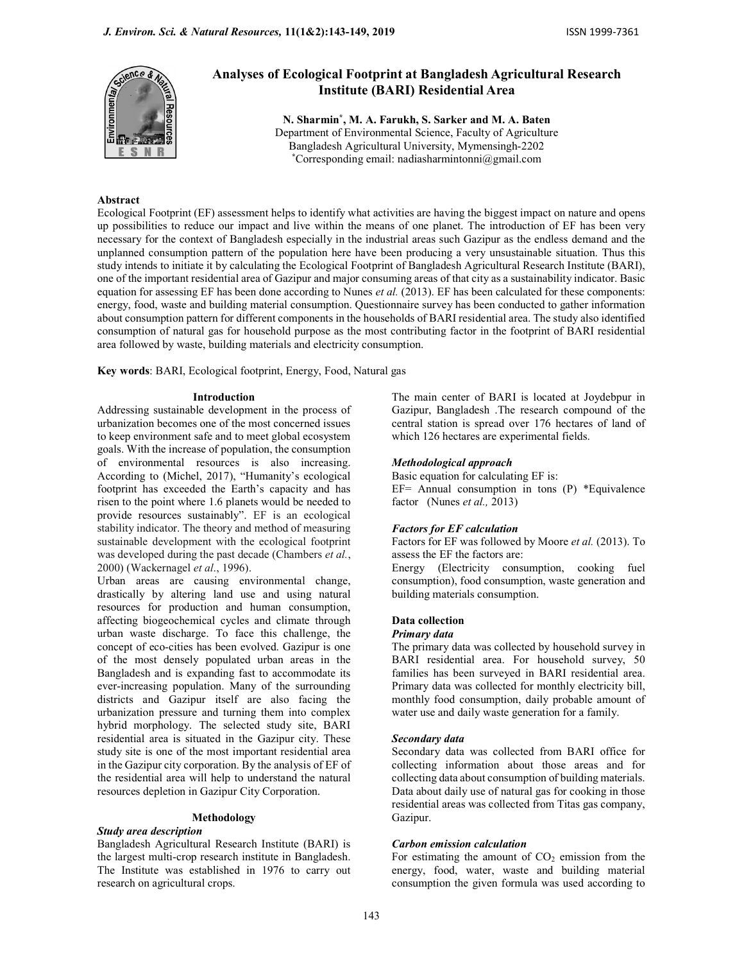

# Analyses of Ecological Footprint at Bangladesh Agricultural Research Institute (BARI) Residential Area

N. Sharmin\* , M. A. Farukh, S. Sarker and M. A. Baten Department of Environmental Science, Faculty of Agriculture Bangladesh Agricultural University, Mymensingh-2202 \*Corresponding email: nadiasharmintonni@gmail.com

# Abstract

Ecological Footprint (EF) assessment helps to identify what activities are having the biggest impact on nature and opens up possibilities to reduce our impact and live within the means of one planet. The introduction of EF has been very necessary for the context of Bangladesh especially in the industrial areas such Gazipur as the endless demand and the unplanned consumption pattern of the population here have been producing a very unsustainable situation. Thus this study intends to initiate it by calculating the Ecological Footprint of Bangladesh Agricultural Research Institute (BARI), one of the important residential area of Gazipur and major consuming areas of that city as a sustainability indicator. Basic equation for assessing EF has been done according to Nunes *et al.* (2013). EF has been calculated for these components: energy, food, waste and building material consumption. Questionnaire survey has been conducted to gather information about consumption pattern for different components in the households of BARI residential area. The study also identified consumption of natural gas for household purpose as the most contributing factor in the footprint of BARI residential area followed by waste, building materials and electricity consumption.

Key words: BARI, Ecological footprint, Energy, Food, Natural gas

### Introduction

Addressing sustainable development in the process of urbanization becomes one of the most concerned issues to keep environment safe and to meet global ecosystem goals. With the increase of population, the consumption of environmental resources is also increasing. According to (Michel, 2017), "Humanity's ecological footprint has exceeded the Earth's capacity and has risen to the point where 1.6 planets would be needed to provide resources sustainably". EF is an ecological stability indicator. The theory and method of measuring sustainable development with the ecological footprint was developed during the past decade (Chambers et al., 2000) (Wackernagel et al., 1996).

Urban areas are causing environmental change, drastically by altering land use and using natural resources for production and human consumption, affecting biogeochemical cycles and climate through urban waste discharge. To face this challenge, the concept of eco-cities has been evolved. Gazipur is one of the most densely populated urban areas in the Bangladesh and is expanding fast to accommodate its ever-increasing population. Many of the surrounding districts and Gazipur itself are also facing the urbanization pressure and turning them into complex hybrid morphology. The selected study site, BARI residential area is situated in the Gazipur city. These study site is one of the most important residential area in the Gazipur city corporation. By the analysis of EF of the residential area will help to understand the natural resources depletion in Gazipur City Corporation.

# Methodology

# Study area description

Bangladesh Agricultural Research Institute (BARI) is the largest multi-crop research institute in Bangladesh. The Institute was established in 1976 to carry out research on agricultural crops.

The main center of BARI is located at Joydebpur in Gazipur, Bangladesh .The research compound of the central station is spread over 176 hectares of land of which 126 hectares are experimental fields.

### Methodological approach

Basic equation for calculating EF is: EF= Annual consumption in tons (P) \*Equivalence factor (Nunes et al., 2013)

### Factors for EF calculation

Factors for EF was followed by Moore et al. (2013). To assess the EF the factors are:

Energy (Electricity consumption, cooking fuel consumption), food consumption, waste generation and building materials consumption.

# Data collection

# Primary data

The primary data was collected by household survey in BARI residential area. For household survey, 50 families has been surveyed in BARI residential area. Primary data was collected for monthly electricity bill, monthly food consumption, daily probable amount of water use and daily waste generation for a family.

### Secondary data

Secondary data was collected from BARI office for collecting information about those areas and for collecting data about consumption of building materials. Data about daily use of natural gas for cooking in those residential areas was collected from Titas gas company, Gazipur.

### Carbon emission calculation

For estimating the amount of  $CO<sub>2</sub>$  emission from the energy, food, water, waste and building material consumption the given formula was used according to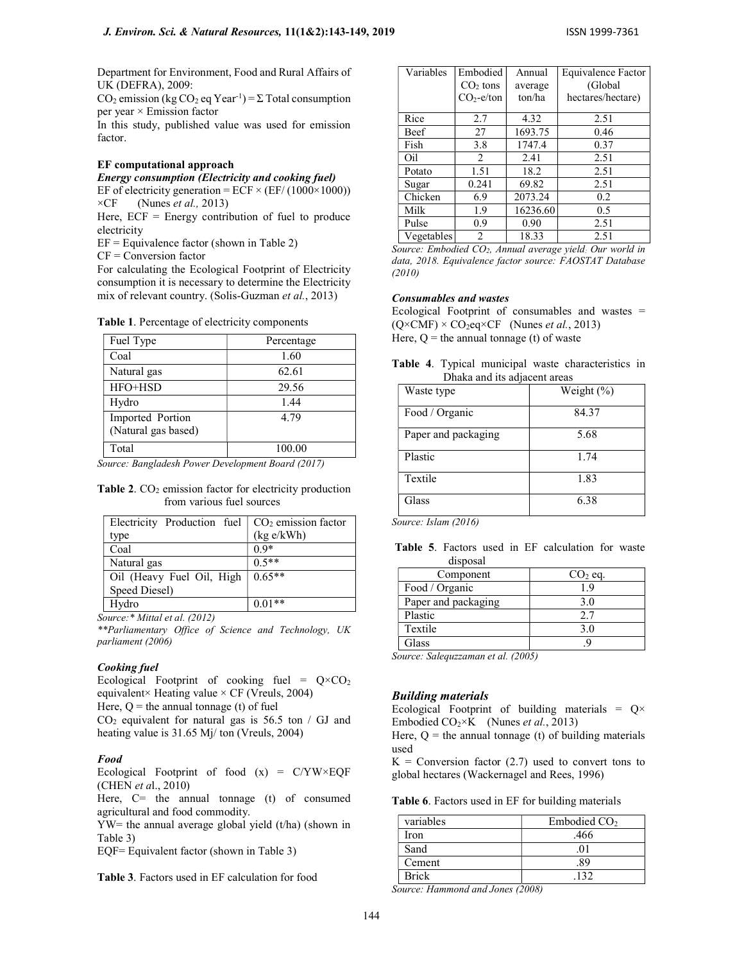Department for Environment, Food and Rural Affairs of UK (DEFRA), 2009:

CO<sub>2</sub> emission (kg CO<sub>2</sub> eq Year<sup>-1</sup>) =  $\Sigma$  Total consumption per year × Emission factor

In this study, published value was used for emission factor.

### EF computational approach

Energy consumption (Electricity and cooking fuel) EF of electricity generation = ECF  $\times$  (EF/ (1000 $\times$ 1000))  $\times CF$  (Nunes *et al.*, 2013)

Here,  $ECF = Energy$  contribution of fuel to produce electricity

 $EF = Equivalence factor (shown in Table 2)$ 

CF = Conversion factor

For calculating the Ecological Footprint of Electricity consumption it is necessary to determine the Electricity mix of relevant country. (Solis-Guzman et al., 2013)

Table 1. Percentage of electricity components

| Fuel Type                               | Percentage |
|-----------------------------------------|------------|
| Coal                                    | 1.60       |
| Natural gas                             | 62.61      |
| HFO+HSD                                 | 29.56      |
| Hydro                                   | 1.44       |
| Imported Portion<br>(Natural gas based) | 4.79       |
| Total                                   | 100.00     |

Source: Bangladesh Power Development Board (2017)

Table 2.  $CO<sub>2</sub>$  emission factor for electricity production from various fuel sources

| Electricity Production fuel | $CO2$ emission factor |
|-----------------------------|-----------------------|
| type                        | (kg e/kWh)            |
| Coal                        | $0.9*$                |
| Natural gas                 | $0.5**$               |
| Oil (Heavy Fuel Oil, High   | $0.65**$              |
| Speed Diesel)               |                       |
| Hydro                       | $0.01**$              |

Source:\* Mittal et al. (2012)

\*\*Parliamentary Office of Science and Technology, UK parliament (2006)

### Cooking fuel

Ecological Footprint of cooking fuel =  $Q \times CO_2$ equivalent× Heating value  $\times$  CF (Vreuls, 2004) Here,  $Q =$  the annual tonnage (t) of fuel  $CO<sub>2</sub>$  equivalent for natural gas is 56.5 ton / GJ and

heating value is 31.65 Mj/ ton (Vreuls, 2004)

### Food

Ecological Footprint of food  $(x) = C/YW \times EQF$ (CHEN et al., 2010)

Here,  $C=$  the annual tonnage (t) of consumed agricultural and food commodity.

YW= the annual average global yield (t/ha) (shown in Table 3)

EQF= Equivalent factor (shown in Table 3)

Table 3. Factors used in EF calculation for food

| Variables   | Embodied       | Annual   | Equivalence Factor |
|-------------|----------------|----------|--------------------|
|             | $CO2$ tons     | average  | (Global            |
|             | $CO2$ -e/ton   | ton/ha   | hectares/hectare)  |
| Rice        | 2.7            | 4.32     | 2.51               |
| <b>Beef</b> | 27             | 1693.75  | 0.46               |
| Fish        | 3.8            | 1747.4   | 0.37               |
| Oil         | $\overline{c}$ | 2.41     | 2.51               |
| Potato      | 1.51           | 18.2     | 2.51               |
| Sugar       | 0.241          | 69.82    | 2.51               |
| Chicken     | 6.9            | 2073.24  | 0.2                |
| Milk        | 1.9            | 16236.60 | 0.5                |
| Pulse       | 0.9            | 0.90     | 2.51               |
| Vegetables  | $\overline{c}$ | 18.33    | 2.51               |

Source: Embodied CO2, Annual average yield: Our world in data, 2018. Equivalence factor source: FAOSTAT Database (2010)

# Consumables and wastes

Ecological Footprint of consumables and wastes  $=$  $(Q \times CMF) \times CO_2$ eq×CF (Nunes *et al.*, 2013) Here,  $Q =$  the annual tonnage (t) of waste

|  |                              | Table 4. Typical municipal waste characteristics in |  |
|--|------------------------------|-----------------------------------------------------|--|
|  | Dhaka and its adjacent areas |                                                     |  |

| Waste type          | Weight (%) |
|---------------------|------------|
| Food / Organic      | 84.37      |
| Paper and packaging | 5.68       |
| Plastic             | 1.74       |
| Textile             | 1.83       |
| Glass               | 6.38       |

Source: Islam (2016)

 Table 5. Factors used in EF calculation for waste disposal

| Component           | $CO2$ eq. |
|---------------------|-----------|
| Food / Organic      |           |
| Paper and packaging | 3.0       |
| Plastic             | 27        |
| Textile             | 3.0       |
| Glass<br>.          |           |

Source: Salequzzaman et al. (2005)

### Building materials

Ecological Footprint of building materials =  $Q \times$ Embodied  $CO_2 \times K$  (Nunes *et al.*, 2013)

Here,  $Q =$  the annual tonnage (t) of building materials used

 $K =$  Conversion factor (2.7) used to convert tons to global hectares (Wackernagel and Rees, 1996)

Table 6. Factors used in EF for building materials

| variables    | Embodied CO <sub>2</sub> |
|--------------|--------------------------|
| Iron         | .466                     |
| Sand         |                          |
| Cement       | 89                       |
| <b>Brick</b> | 132                      |

Source: Hammond and Jones (2008)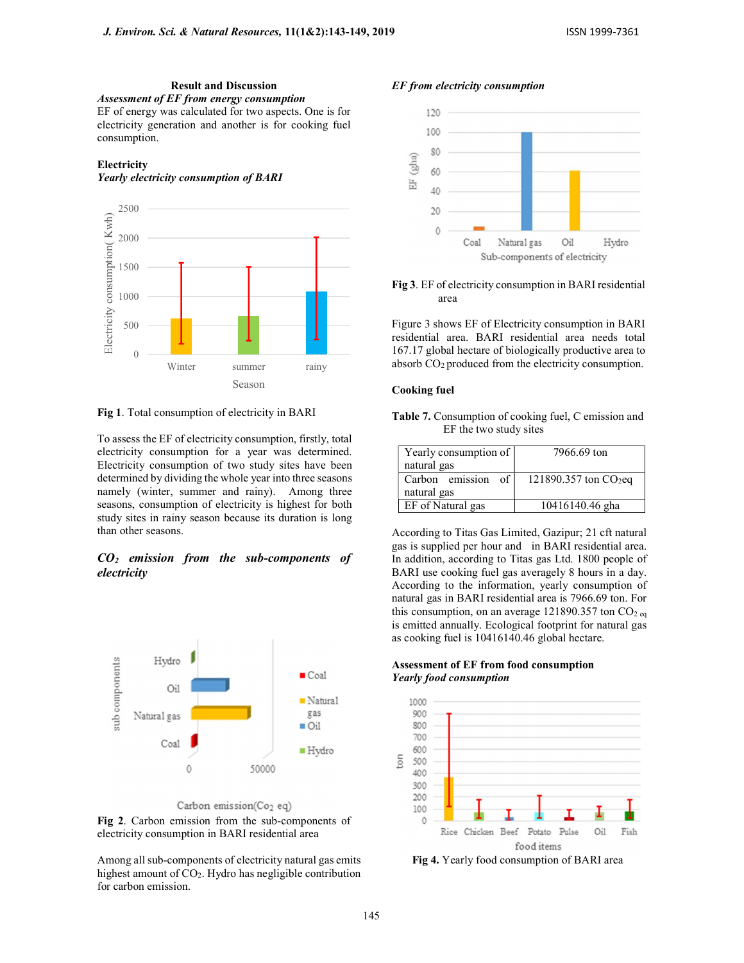Result and Discussion Assessment of EF from energy consumption EF of energy was calculated for two aspects. One is for electricity generation and another is for cooking fuel consumption.

# **Electricity**

#### Yearly electricity consumption of BARI



Fig 1. Total consumption of electricity in BARI

To assess the EF of electricity consumption, firstly, total electricity consumption for a year was determined. Electricity consumption of two study sites have been determined by dividing the whole year into three seasons namely (winter, summer and rainy). Among three seasons, consumption of electricity is highest for both study sites in rainy season because its duration is long than other seasons.

# $CO<sub>2</sub>$  emission from the sub-components of electricity





Fig 2. Carbon emission from the sub-components of electricity consumption in BARI residential area



EF from electricity consumption



Fig 3. EF of electricity consumption in BARI residential area

Figure 3 shows EF of Electricity consumption in BARI residential area. BARI residential area needs total 167.17 global hectare of biologically productive area to absorb CO<sub>2</sub> produced from the electricity consumption.

#### Cooking fuel

Table 7. Consumption of cooking fuel, C emission and EF the two study sites

| Yearly consumption of<br>natural gas | 7966.69 ton             |
|--------------------------------------|-------------------------|
| of<br>Carbon emission<br>natural gas | 121890.357 ton $CO2$ eq |
| EF of Natural gas                    | 10416140.46 gha         |

According to Titas Gas Limited, Gazipur; 21 cft natural gas is supplied per hour and in BARI residential area. In addition, according to Titas gas Ltd. 1800 people of BARI use cooking fuel gas averagely 8 hours in a day. According to the information, yearly consumption of natural gas in BARI residential area is 7966.69 ton. For this consumption, on an average 121890.357 ton  $CO<sub>2 eq</sub>$ is emitted annually. Ecological footprint for natural gas as cooking fuel is 10416140.46 global hectare.

# Assessment of EF from food consumption Yearly food consumption



Fig 4. Yearly food consumption of BARI area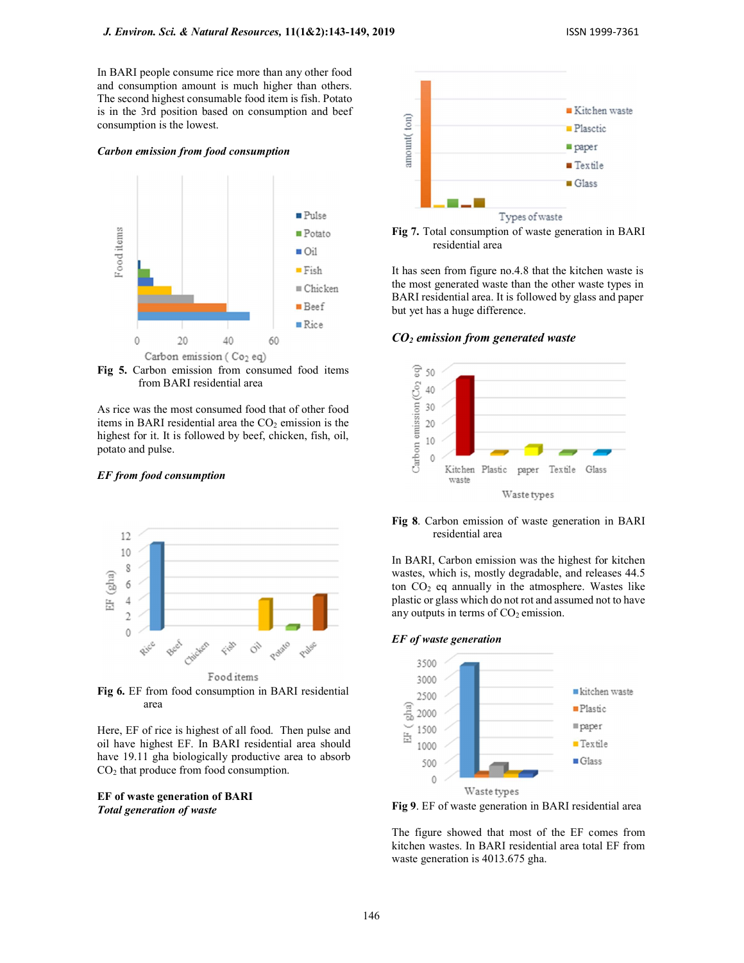In BARI people consume rice more than any other food and consumption amount is much higher than others. The second highest consumable food item is fish. Potato is in the 3rd position based on consumption and beef consumption is the lowest.

### Carbon emission from food consumption



Fig 5. Carbon emission from consumed food items from BARI residential area

As rice was the most consumed food that of other food items in BARI residential area the  $CO<sub>2</sub>$  emission is the highest for it. It is followed by beef, chicken, fish, oil, potato and pulse.

# EF from food consumption



Fig 6. EF from food consumption in BARI residential area

Here, EF of rice is highest of all food. Then pulse and oil have highest EF. In BARI residential area should have 19.11 gha biologically productive area to absorb CO2 that produce from food consumption.

# EF of waste generation of BARI Total generation of waste





It has seen from figure no.4.8 that the kitchen waste is the most generated waste than the other waste types in BARI residential area. It is followed by glass and paper but yet has a huge difference.

 $CO<sub>2</sub>$  emission from generated waste



# Fig 8. Carbon emission of waste generation in BARI residential area

In BARI, Carbon emission was the highest for kitchen wastes, which is, mostly degradable, and releases 44.5 ton  $CO<sub>2</sub>$  eq annually in the atmosphere. Wastes like plastic or glass which do not rot and assumed not to have any outputs in terms of  $CO<sub>2</sub>$  emission.

### EF of waste generation



Fig 9. EF of waste generation in BARI residential area

The figure showed that most of the EF comes from kitchen wastes. In BARI residential area total EF from waste generation is 4013.675 gha.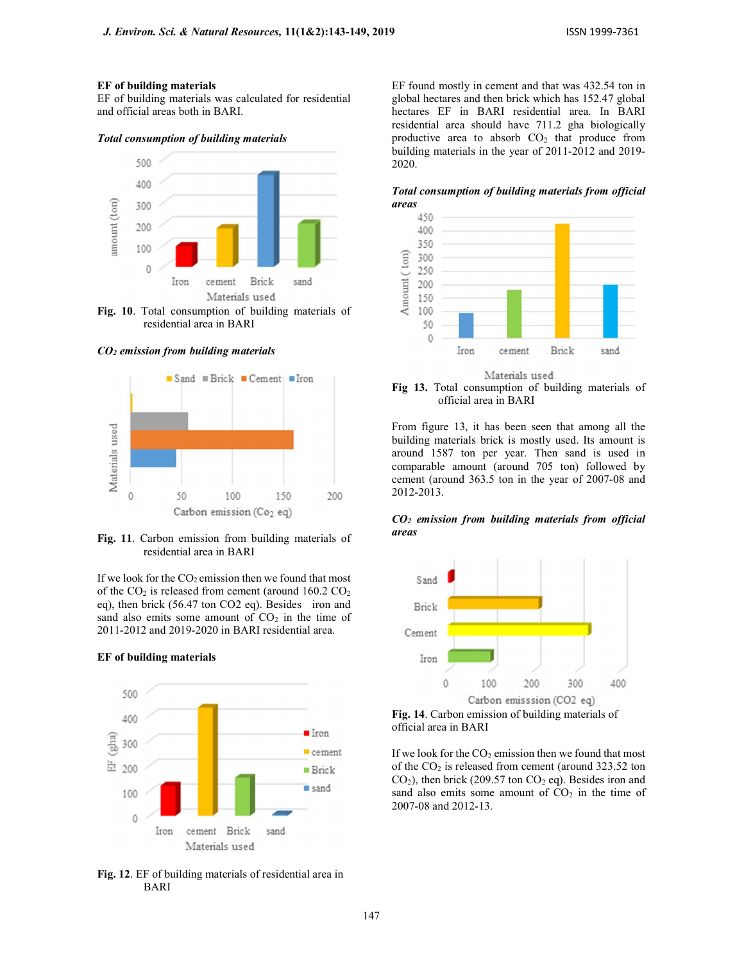# EF of building materials

EF of building materials was calculated for residential and official areas both in BARI.

Total consumption of building materials



residential area in BARI

 $CO<sub>2</sub>$  emission from building materials



Fig. 11. Carbon emission from building materials of residential area in BARI

If we look for the  $CO<sub>2</sub>$  emission then we found that most of the  $CO_2$  is released from cement (around 160.2  $CO_2$ ) eq), then brick (56.47 ton CO2 eq). Besides iron and sand also emits some amount of  $CO<sub>2</sub>$  in the time of 2011-2012 and 2019-2020 in BARI residential area.

#### EF of building materials



Fig. 12. EF of building materials of residential area in BARI

EF found mostly in cement and that was 432.54 ton in global hectares and then brick which has 152.47 global hectares EF in BARI residential area. In BARI residential area should have 711.2 gha biologically productive area to absorb  $CO<sub>2</sub>$  that produce from building materials in the year of 2011-2012 and 2019- 2020.

Total consumption of building materials from official areas



Materials used Fig 13. Total consumption of building materials of official area in BARI

From figure 13, it has been seen that among all the building materials brick is mostly used. Its amount is around 1587 ton per year. Then sand is used in comparable amount (around 705 ton) followed by cement (around 363.5 ton in the year of 2007-08 and 2012-2013.

# $CO<sub>2</sub>$  emission from building materials from official areas



Fig. 14. Carbon emission of building materials of official area in BARI

If we look for the  $CO<sub>2</sub>$  emission then we found that most of the  $CO<sub>2</sub>$  is released from cement (around 323.52 ton  $CO<sub>2</sub>$ ), then brick (209.57 ton  $CO<sub>2</sub>$  eq). Besides iron and sand also emits some amount of  $CO<sub>2</sub>$  in the time of 2007-08 and 2012-13.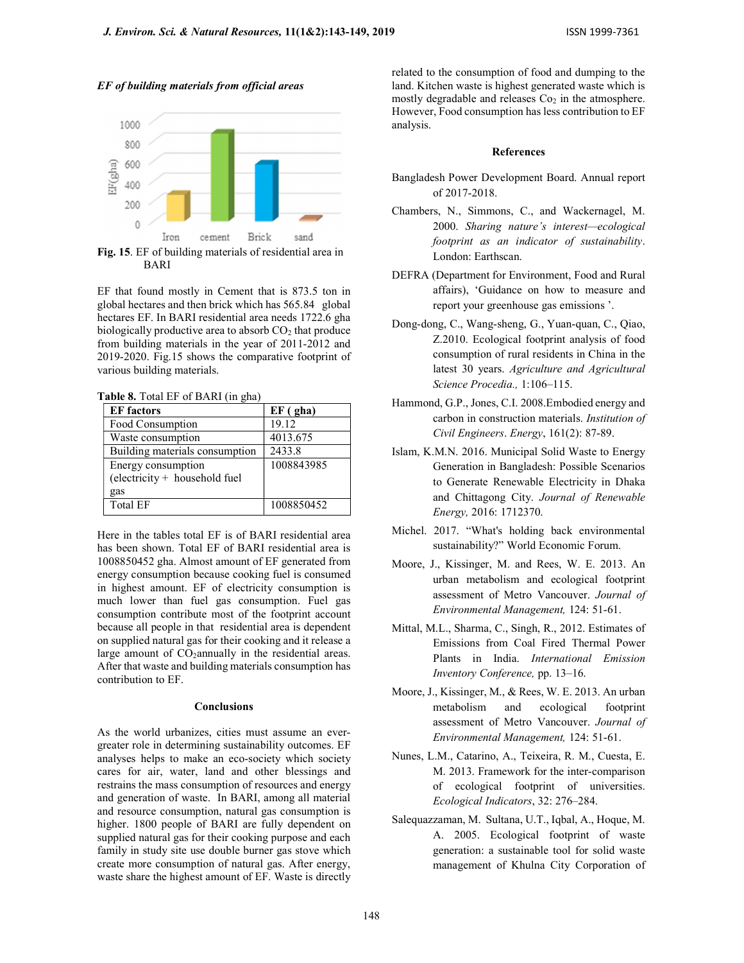



Fig. 15. EF of building materials of residential area in BARI

EF that found mostly in Cement that is 873.5 ton in global hectares and then brick which has 565.84 global hectares EF. In BARI residential area needs 1722.6 gha biologically productive area to absorb  $CO<sub>2</sub>$  that produce from building materials in the year of 2011-2012 and 2019-2020. Fig.15 shows the comparative footprint of various building materials.

Table 8. Total EF of BARI (in gha)

| <b>EF</b> factors                                   | $EF$ (gha) |
|-----------------------------------------------------|------------|
| Food Consumption                                    | 19.12      |
| Waste consumption                                   | 4013.675   |
| Building materials consumption                      | 2433.8     |
| Energy consumption<br>(electricity + household fuel | 1008843985 |
| gas                                                 |            |
| Total EF                                            | 1008850452 |

Here in the tables total EF is of BARI residential area has been shown. Total EF of BARI residential area is 1008850452 gha. Almost amount of EF generated from energy consumption because cooking fuel is consumed in highest amount. EF of electricity consumption is much lower than fuel gas consumption. Fuel gas consumption contribute most of the footprint account because all people in that residential area is dependent on supplied natural gas for their cooking and it release a large amount of  $CO_2$ annually in the residential areas. After that waste and building materials consumption has contribution to EF.

### **Conclusions**

As the world urbanizes, cities must assume an evergreater role in determining sustainability outcomes. EF analyses helps to make an eco-society which society cares for air, water, land and other blessings and restrains the mass consumption of resources and energy and generation of waste. In BARI, among all material and resource consumption, natural gas consumption is higher. 1800 people of BARI are fully dependent on supplied natural gas for their cooking purpose and each family in study site use double burner gas stove which create more consumption of natural gas. After energy, waste share the highest amount of EF. Waste is directly related to the consumption of food and dumping to the land. Kitchen waste is highest generated waste which is mostly degradable and releases  $Co<sub>2</sub>$  in the atmosphere. However, Food consumption has less contribution to EF analysis.

#### References

- Bangladesh Power Development Board. Annual report of 2017-2018.
- Chambers, N., Simmons, C., and Wackernagel, M. 2000. Sharing nature's interest—ecological footprint as an indicator of sustainability. London: Earthscan.
- DEFRA (Department for Environment, Food and Rural affairs), 'Guidance on how to measure and report your greenhouse gas emissions '.
- Dong-dong, C., Wang-sheng, G., Yuan-quan, C., Qiao, Z.2010. Ecological footprint analysis of food consumption of rural residents in China in the latest 30 years. Agriculture and Agricultural Science Procedia., 1:106–115.
- Hammond, G.P., Jones, C.I. 2008.Embodied energy and carbon in construction materials. Institution of Civil Engineers. Energy, 161(2): 87-89.
- Islam, K.M.N. 2016. Municipal Solid Waste to Energy Generation in Bangladesh: Possible Scenarios to Generate Renewable Electricity in Dhaka and Chittagong City. Journal of Renewable Energy, 2016: 1712370.
- Michel. 2017. "What's holding back environmental sustainability?" World Economic Forum.
- Moore, J., Kissinger, M. and Rees, W. E. 2013. An urban metabolism and ecological footprint assessment of Metro Vancouver. Journal of Environmental Management, 124: 51-61.
- Mittal, M.L., Sharma, C., Singh, R., 2012. Estimates of Emissions from Coal Fired Thermal Power Plants in India. International Emission Inventory Conference, pp. 13–16.
- Moore, J., Kissinger, M., & Rees, W. E. 2013. An urban metabolism and ecological footprint assessment of Metro Vancouver. Journal of Environmental Management, 124: 51-61.
- Nunes, L.M., Catarino, A., Teixeira, R. M., Cuesta, E. M. 2013. Framework for the inter-comparison of ecological footprint of universities. Ecological Indicators, 32: 276–284.
- Salequazzaman, M. Sultana, U.T., Iqbal, A., Hoque, M. A. 2005. Ecological footprint of waste generation: a sustainable tool for solid waste management of Khulna City Corporation of